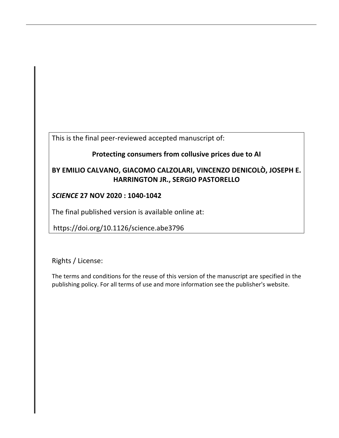This is the final peer-reviewed accepted manuscript of:

# **Protecting consumers from collusive prices due to AI**

# **BY EMILIO CALVANO, GIACOMO CALZOLARI, VINCENZO DENICOLÒ, JOSEPH E. HARRINGTON JR., SERGIO PASTORELLO**

## *SCIENCE* **27 NOV 2020 : 1040-1042**

The final published version is available online at:

https://doi.org/10.1126/science.abe3796

Rights / License:

The terms and conditions for the reuse of this version of the manuscript are specified in the publishing policy. For all terms of use and more information see the publisher's website.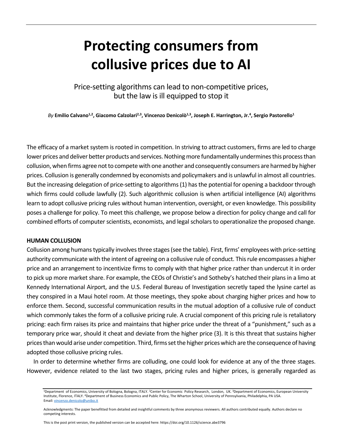# **Protecting consumers from collusive prices due to AI**

Price-setting algorithms can lead to non-competitive prices, but the law is ill equipped to stop it

By Emilio Calvano<sup>1,2</sup>, Giacomo Calzolari<sup>2,3</sup>, Vincenzo Denicolò<sup>1,3</sup>, Joseph E. Harrington, Jr.<sup>4</sup>, Sergio Pastorello<sup>1</sup>

The efficacy of a market system is rooted in competition. In striving to attract customers, firms are led to charge lower prices and deliver better products and services. Nothing more fundamentally undermines this process than collusion, when firms agree not to compete with one another and consequently consumers are harmed by higher prices. Collusion is generally condemned by economists and policymakers and is unlawful in almost all countries. But the increasing delegation of price-setting to algorithms (1) has the potential for opening a backdoor through which firms could collude lawfully (2). Such algorithmic collusion is when artificial intelligence (AI) algorithms learn to adopt collusive pricing rules without human intervention, oversight, or even knowledge. This possibility poses a challenge for policy. To meet this challenge, we propose below a direction for policy change and call for combined efforts of computer scientists, economists, and legal scholars to operationalize the proposed change.

#### **HUMAN COLLUSION**

Collusion among humans typically involves three stages (see the table). First, firms' employees with price-setting authority communicate with the intent of agreeing on a collusive rule of conduct. This rule encompasses a higher price and an arrangement to incentivize firms to comply with that higher price rather than undercut it in order to pick up more market share. For example, the CEOs of Christie's and Sotheby's hatched their plans in a limo at Kennedy International Airport, and the U.S. Federal Bureau of Investigation secretly taped the lysine cartel as they conspired in a Maui hotel room. At those meetings, they spoke about charging higher prices and how to enforce them. Second, successful communication results in the mutual adoption of a collusive rule of conduct which commonly takes the form of a collusive pricing rule. A crucial component of this pricing rule is retaliatory pricing: each firm raises its price and maintains that higher price under the threat of a "punishment," such as a temporary price war, should it cheat and deviate from the higher price (3). It is this threat that sustains higher prices than would arise under competition. Third, firms set the higher prices which are the consequence of having adopted those collusive pricing rules.

In order to determine whether firms are colluding, one could look for evidence at any of the three stages. However, evidence related to the last two stages, pricing rules and higher prices, is generally regarded as

<sup>1</sup>Department of Economics, University of Bologna, Bologna, ITALY. <sup>2</sup>Center for Economic Policy Research, London, UK. <sup>3</sup>Department of Economics, European University Institute, Florence, ITALY. 4Department of Business Economics and Public Policy, The Wharton School, University of Pennsylvania, Philadelphia, PA USA. Email: vincenzo.denicolo@unibo.it

Acknowledgments: The paper benefitted from detailed and insightful comments by three anonymous reviewers. All authors contributed equally. Authors declare no competing interests.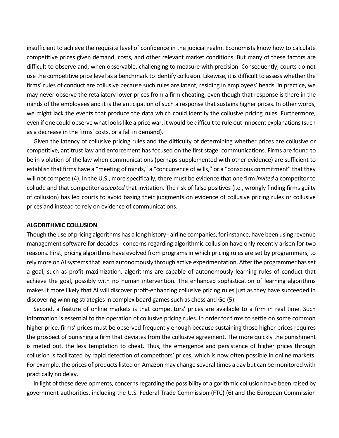insufficient to achieve the requisite level of confidence in the judicial realm. Economists know how to calculate competitive prices given demand, costs, and other relevant market conditions. But many of these factors are difficult to observe and, when observable, challenging to measure with precision. Consequently, courts do not use the competitive price level as a benchmark to identify collusion. Likewise, it is difficult to assess whether the firms' rules of conduct are collusive because such rules are latent, residing in employees' heads. In practice, we may never observe the retaliatory lower prices from a firm cheating, even though that response is there in the minds of the employees and it is the anticipation of such a response that sustains higher prices. In other words, we might lack the events that produce the data which could identify the collusive pricing rules. Furthermore, even if one could observe what looks like a price war, it would be difficult to rule out innocent explanations (such as a decrease in the firms' costs, or a fall in demand).

Given the latency of collusive pricing rules and the difficulty of determining whether prices are collusive or competitive, antitrust law and enforcement has focused on the first stage: communications. Firms are found to be in violation of the law when communications (perhaps supplemented with other evidence) are sufficient to establish that firms have a "meeting of minds," a "concurrence of wills," or a "conscious commitment" that they will not compete (4). In the U.S., more specifically, there must be evidence that one firm *invited* a competitor to collude and that competitor *accepted* that invitation. The risk of false positives (i.e., wrongly finding firms guilty of collusion) has led courts to avoid basing their judgments on evidence of collusive pricing rules or collusive prices and instead to rely on evidence of communications.

#### **ALGORITHMIC COLLUSION**

Though the use of pricing algorithms has a long history - airline companies, for instance, have been using revenue management software for decades - concerns regarding algorithmic collusion have only recently arisen for two reasons. First, pricing algorithms have evolved from programs in which pricing rules are set by programmers, to rely more on AI systems that learn autonomously through active experimentation. After the programmer has set a goal, such as profit maximization, algorithms are capable of autonomously learning rules of conduct that achieve the goal, possibly with no human intervention. The enhanced sophistication of learning algorithms makes it more likely that AI will discover profit-enhancing collusive pricing rules just as they have succeeded in discovering winning strategies in complex board games such as chess and Go (5).

Second, a feature of online markets is that competitors' prices are available to a firm in real time. Such information is essential to the operation of collusive pricing rules. In order for firms to settle on some common higher price, firms' prices must be observed frequently enough because sustaining those higher prices requires the prospect of punishing a firm that deviates from the collusive agreement. The more quickly the punishment is meted out, the less temptation to cheat. Thus, the emergence and persistence of higher prices through collusion is facilitated by rapid detection of competitors' prices, which is now often possible in online markets. For example, the prices of products listed on Amazon may change several times a day but can be monitored with practically no delay.

In light of these developments, concerns regarding the possibility of algorithmic collusion have been raised by government authorities, including the U.S. Federal Trade Commission (FTC) (6) and the European Commission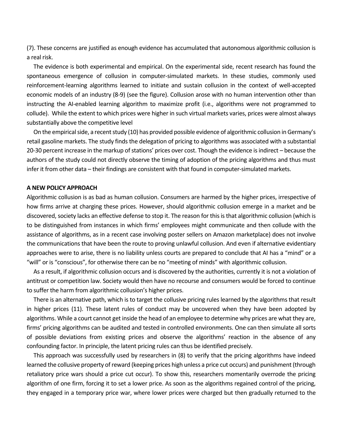(7). These concerns are justified as enough evidence has accumulated that autonomous algorithmic collusion is a real risk.

The evidence is both experimental and empirical. On the experimental side, recent research has found the spontaneous emergence of collusion in computer-simulated markets. In these studies, commonly used reinforcement-learning algorithms learned to initiate and sustain collusion in the context of well-accepted economic models of an industry (8-9) (see the figure). Collusion arose with no human intervention other than instructing the AI-enabled learning algorithm to maximize profit (i.e., algorithms were not programmed to collude). While the extent to which prices were higher in such virtual markets varies, prices were almost always substantially above the competitive level

On the empirical side, a recent study (10) has provided possible evidence of algorithmic collusion in Germany's retail gasoline markets. The study finds the delegation of pricing to algorithms was associated with a substantial 20-30 percent increase in the markup of stations' prices over cost. Though the evidence is indirect – because the authors of the study could not directly observe the timing of adoption of the pricing algorithms and thus must infer it from other data – their findings are consistent with that found in computer-simulated markets.

#### **A NEW POLICY APPROACH**

Algorithmic collusion is as bad as human collusion. Consumers are harmed by the higher prices, irrespective of how firms arrive at charging these prices. However, should algorithmic collusion emerge in a market and be discovered, society lacks an effective defense to stop it. The reason for this is that algorithmic collusion (which is to be distinguished from instances in which firms' employees might communicate and then collude with the assistance of algorithms, as in a recent case involving poster sellers on Amazon marketplace) does not involve the communications that have been the route to proving unlawful collusion. And even if alternative evidentiary approaches were to arise, there is no liability unless courts are prepared to conclude that AI has a "mind" or a "will" or is "conscious", for otherwise there can be no "meeting of minds" with algorithmic collusion.

As a result, if algorithmic collusion occurs and is discovered by the authorities, currently it is not a violation of antitrust or competition law. Society would then have no recourse and consumers would be forced to continue to suffer the harm from algorithmic collusion's higher prices.

There is an alternative path, which is to target the collusive pricing rules learned by the algorithms that result in higher prices (11). These latent rules of conduct may be uncovered when they have been adopted by algorithms. While a court cannot get inside the head of an employee to determine why prices are what they are, firms' pricing algorithms can be audited and tested in controlled environments. One can then simulate all sorts of possible deviations from existing prices and observe the algorithms' reaction in the absence of any confounding factor. In principle, the latent pricing rules can thus be identified precisely.

This approach was successfully used by researchers in (8) to verify that the pricing algorithms have indeed learned the collusive property of reward (keeping prices high unless a price cut occurs) and punishment (through retaliatory price wars should a price cut occur). To show this, researchers momentarily overrode the pricing algorithm of one firm, forcing it to set a lower price. As soon as the algorithms regained control of the pricing, they engaged in a temporary price war, where lower prices were charged but then gradually returned to the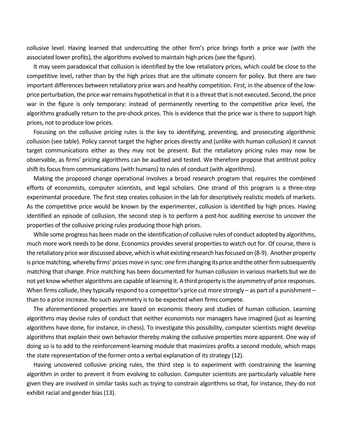collusive level. Having learned that undercutting the other firm's price brings forth a price war (with the associated lower profits), the algorithms evolved to maintain high prices (see the figure).

It may seem paradoxical that collusion is identified by the low retaliatory prices, which could be close to the competitive level, rather than by the high prices that are the ultimate concern for policy. But there are two important differences between retaliatory price wars and healthy competition. First, in the absence of the lowprice perturbation, the price war remains hypothetical in that it is a threat that is not executed. Second, the price war in the figure is only temporary: instead of permanently reverting to the competitive price level, the algorithms gradually return to the pre-shock prices. This is evidence that the price war is there to support high prices, not to produce low prices.

Focusing on the collusive pricing rules is the key to identifying, preventing, and prosecuting algorithmic collusion (see table). Policy cannot target the higher prices directly and (unlike with human collusion) it cannot target communications either as they may not be present. But the retaliatory pricing rules may now be observable, as firms' pricing algorithms can be audited and tested. We therefore propose that antitrust policy shift its focus from communications (with humans) to rules of conduct (with algorithms).

Making the proposed change operational involves a broad research program that requires the combined efforts of economists, computer scientists, and legal scholars. One strand of this program is a three-step experimental procedure. The first step creates collusion in the lab for descriptively realistic models of markets. As the competitive price would be known by the experimenter, collusion is identified by high prices. Having identified an episode of collusion, the second step is to perform a post-hoc auditing exercise to uncover the properties of the collusive pricing rules producing those high prices.

While some progress has been made on the identification of collusive rules of conduct adopted by algorithms, much more work needs to be done. Economics provides several properties to watch out for. Of course, there is the retaliatory price war discussed above, which is what existing research has focused on (8-9). Another property is price matching, whereby firms' prices move in sync: one firm changing its price and the other firm subsequently matching that change. Price matching has been documented for human collusion in various markets but we do not yet know whether algorithms are capable of learning it. A third property is the asymmetry of price responses. When firms collude, they typically respond to a competitor's price cut more strongly – as part of a punishment – than to a price increase. No such asymmetry is to be expected when firms compete.

The aforementioned properties are based on economic theory and studies of human collusion. Learning algorithms may devise rules of conduct that neither economists nor managers have imagined (just as learning algorithms have done, for instance, in chess). To investigate this possibility, computer scientists might develop algorithms that explain their own behavior thereby making the collusive properties more apparent. One way of doing so is to add to the reinforcement-learning module that maximizes profits a second module, which maps the state representation of the former onto a verbal explanation of its strategy (12).

Having uncovered collusive pricing rules, the third step is to experiment with constraining the learning algorithm in order to prevent it from evolving to collusion. Computer scientists are particularly valuable here given they are involved in similar tasks such as trying to constrain algorithms so that, for instance, they do not exhibit racial and gender bias (13).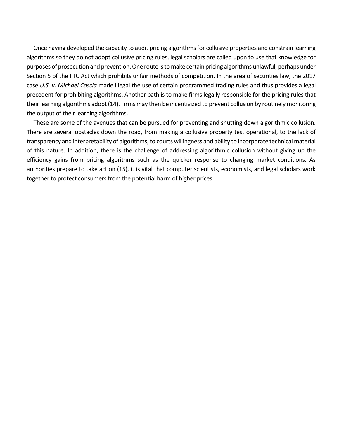Once having developed the capacity to audit pricing algorithms for collusive properties and constrain learning algorithms so they do not adopt collusive pricing rules, legal scholars are called upon to use that knowledge for purposes of prosecution and prevention. One route is to make certain pricing algorithms unlawful, perhaps under Section 5 of the FTC Act which prohibits unfair methods of competition. In the area of securities law, the 2017 case *U.S. v. Michael Coscia* made illegal the use of certain programmed trading rules and thus provides a legal precedent for prohibiting algorithms. Another path is to make firms legally responsible for the pricing rules that their learning algorithms adopt (14). Firms may then be incentivized to prevent collusion by routinely monitoring the output of their learning algorithms.

These are some of the avenues that can be pursued for preventing and shutting down algorithmic collusion. There are several obstacles down the road, from making a collusive property test operational, to the lack of transparency and interpretability of algorithms, to courts willingness and ability to incorporate technical material of this nature. In addition, there is the challenge of addressing algorithmic collusion without giving up the efficiency gains from pricing algorithms such as the quicker response to changing market conditions. As authorities prepare to take action (15), it is vital that computer scientists, economists, and legal scholars work together to protect consumers from the potential harm of higher prices.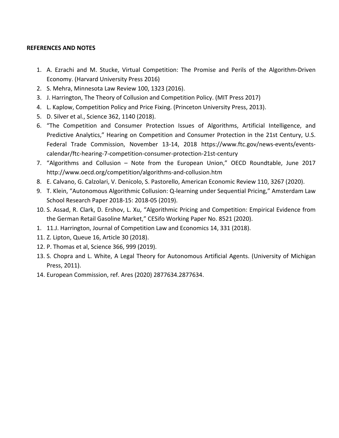## **REFERENCES AND NOTES**

- 1. A. Ezrachi and M. Stucke, Virtual Competition: The Promise and Perils of the Algorithm-Driven Economy. (Harvard University Press 2016)
- 2. S. Mehra, Minnesota Law Review 100, 1323 (2016).
- 3. J. Harrington, The Theory of Collusion and Competition Policy. (MIT Press 2017)
- 4. L. Kaplow, Competition Policy and Price Fixing. (Princeton University Press, 2013).
- 5. D. Silver et al., Science 362, 1140 (2018).
- 6. "The Competition and Consumer Protection Issues of Algorithms, Artificial Intelligence, and Predictive Analytics," Hearing on Competition and Consumer Protection in the 21st Century, U.S. Federal Trade Commission, November 13-14, 2018 https://www.ftc.gov/news-events/eventscalendar/ftc-hearing-7-competition-consumer-protection-21st-century
- 7. "Algorithms and Collusion Note from the European Union," OECD Roundtable, June 2017 http://www.oecd.org/competition/algorithms-and-collusion.htm
- 8. E. Calvano, G. Calzolari, V. Denicolo, S. Pastorello, American Economic Review 110, 3267 (2020).
- 9. T. Klein, "Autonomous Algorithmic Collusion: Q-learning under Sequential Pricing," Amsterdam Law School Research Paper 2018-15: 2018-05 (2019).
- 10. S. Assad, R. Clark, D. Ershov, L. Xu, "Algorithmic Pricing and Competition: Empirical Evidence from the German Retail Gasoline Market," CESifo Working Paper No. 8521 (2020).
- 1. 11.J. Harrington, Journal of Competition Law and Economics 14, 331 (2018).
- 11. Z. Lipton, Queue 16, Article 30 (2018).
- 12. P. Thomas et al, Science 366, 999 (2019).
- 13. S. Chopra and L. White, A Legal Theory for Autonomous Artificial Agents. (University of Michigan Press, 2011).
- 14. European Commission, ref. Ares (2020) 2877634.2877634.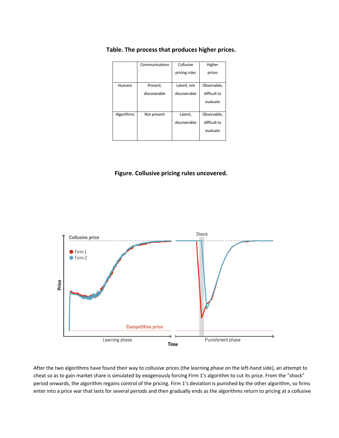|               | Communications | Collusive     | Higher       |
|---------------|----------------|---------------|--------------|
|               |                | pricing rules | prices       |
|               |                |               |              |
| <b>Humans</b> | Present,       | Latent, not   | Observable,  |
|               | discoverable   | discoverable  | difficult to |
|               |                |               | evaluate     |
|               |                |               |              |
| Algorithms    | Not present    | Latent,       | Observable,  |
|               |                | discoverable  | difficult to |
|               |                |               | evaluate     |
|               |                |               |              |

## **Table. The process that produces higher prices.**

## **Figure. Collusive pricing rules uncovered.**



After the two algorithms have found their way to collusive prices (the learning phase on the left-hand side), an attempt to cheat so as to gain market share is simulated by exogenously forcing Firm 1's algorithm to cut its price. From the "shock" period onwards, the algorithm regains control of the pricing. Firm 1's deviation is punished by the other algorithm, so firms enter into a price war that lasts for several periods and then gradually ends as the algorithms return to pricing at a collusive